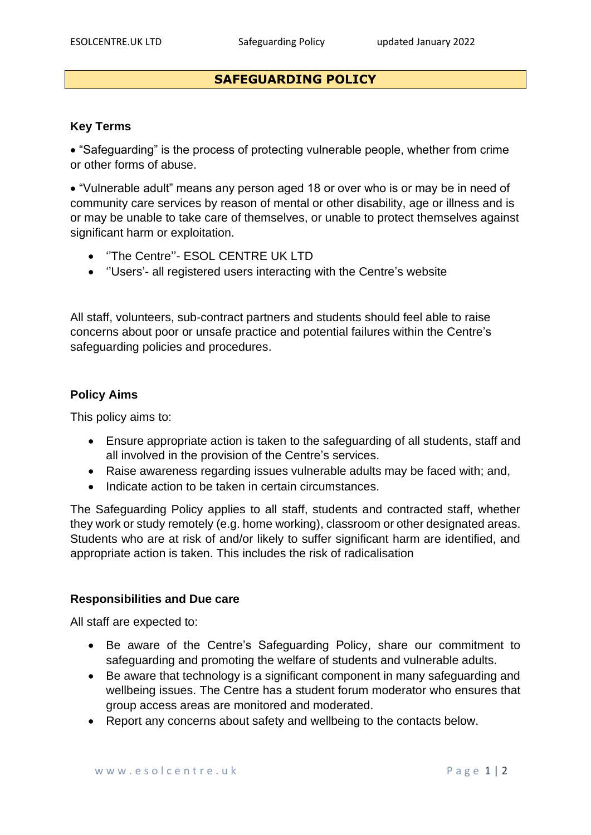# **SAFEGUARDING POLICY**

### **Key Terms**

• "Safeguarding" is the process of protecting vulnerable people, whether from crime or other forms of abuse.

• "Vulnerable adult" means any person aged 18 or over who is or may be in need of community care services by reason of mental or other disability, age or illness and is or may be unable to take care of themselves, or unable to protect themselves against significant harm or exploitation.

- ''The Centre''- ESOL CENTRE UK LTD
- ''Users'- all registered users interacting with the Centre's website

All staff, volunteers, sub-contract partners and students should feel able to raise concerns about poor or unsafe practice and potential failures within the Centre's safeguarding policies and procedures.

### **Policy Aims**

This policy aims to:

- Ensure appropriate action is taken to the safeguarding of all students, staff and all involved in the provision of the Centre's services.
- Raise awareness regarding issues vulnerable adults may be faced with; and,
- Indicate action to be taken in certain circumstances.

The Safeguarding Policy applies to all staff, students and contracted staff, whether they work or study remotely (e.g. home working), classroom or other designated areas. Students who are at risk of and/or likely to suffer significant harm are identified, and appropriate action is taken. This includes the risk of radicalisation

#### **Responsibilities and Due care**

All staff are expected to:

- Be aware of the Centre's Safeguarding Policy, share our commitment to safeguarding and promoting the welfare of students and vulnerable adults.
- Be aware that technology is a significant component in many safeguarding and wellbeing issues. The Centre has a student forum moderator who ensures that group access areas are monitored and moderated.
- Report any concerns about safety and wellbeing to the contacts below.